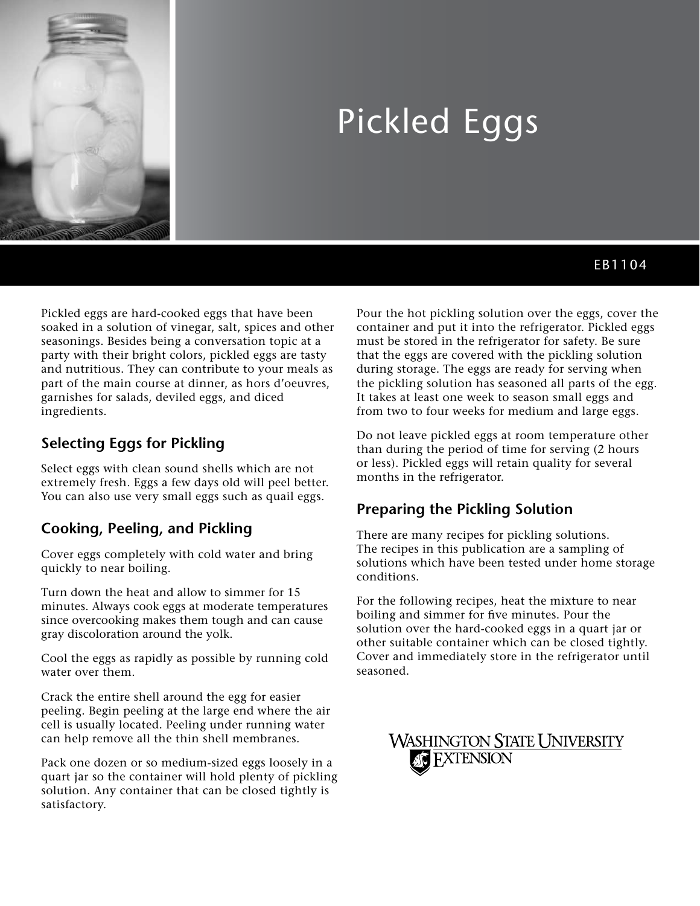

# Pickled Eggs

# EB1104

Pickled eggs are hard-cooked eggs that have been soaked in a solution of vinegar, salt, spices and other seasonings. Besides being a conversation topic at a party with their bright colors, pickled eggs are tasty and nutritious. They can contribute to your meals as part of the main course at dinner, as hors d'oeuvres, garnishes for salads, deviled eggs, and diced ingredients.

### **Selecting Eggs for Pickling**

Select eggs with clean sound shells which are not extremely fresh. Eggs a few days old will peel better. You can also use very small eggs such as quail eggs.

## **Cooking, Peeling, and Pickling**

Cover eggs completely with cold water and bring quickly to near boiling.

Turn down the heat and allow to simmer for 15 minutes. Always cook eggs at moderate temperatures since overcooking makes them tough and can cause gray discoloration around the yolk.

Cool the eggs as rapidly as possible by running cold water over them.

Crack the entire shell around the egg for easier peeling. Begin peeling at the large end where the air cell is usually located. Peeling under running water can help remove all the thin shell membranes.

Pack one dozen or so medium-sized eggs loosely in a quart jar so the container will hold plenty of pickling solution. Any container that can be closed tightly is satisfactory.

Pour the hot pickling solution over the eggs, cover the container and put it into the refrigerator. Pickled eggs must be stored in the refrigerator for safety. Be sure that the eggs are covered with the pickling solution during storage. The eggs are ready for serving when the pickling solution has seasoned all parts of the egg. It takes at least one week to season small eggs and from two to four weeks for medium and large eggs.

Do not leave pickled eggs at room temperature other than during the period of time for serving (2 hours or less). Pickled eggs will retain quality for several months in the refrigerator.

#### **Preparing the Pickling Solution**

There are many recipes for pickling solutions. The recipes in this publication are a sampling of solutions which have been tested under home storage conditions.

For the following recipes, heat the mixture to near boiling and simmer for five minutes. Pour the solution over the hard-cooked eggs in a quart jar or other suitable container which can be closed tightly. Cover and immediately store in the refrigerator until seasoned.